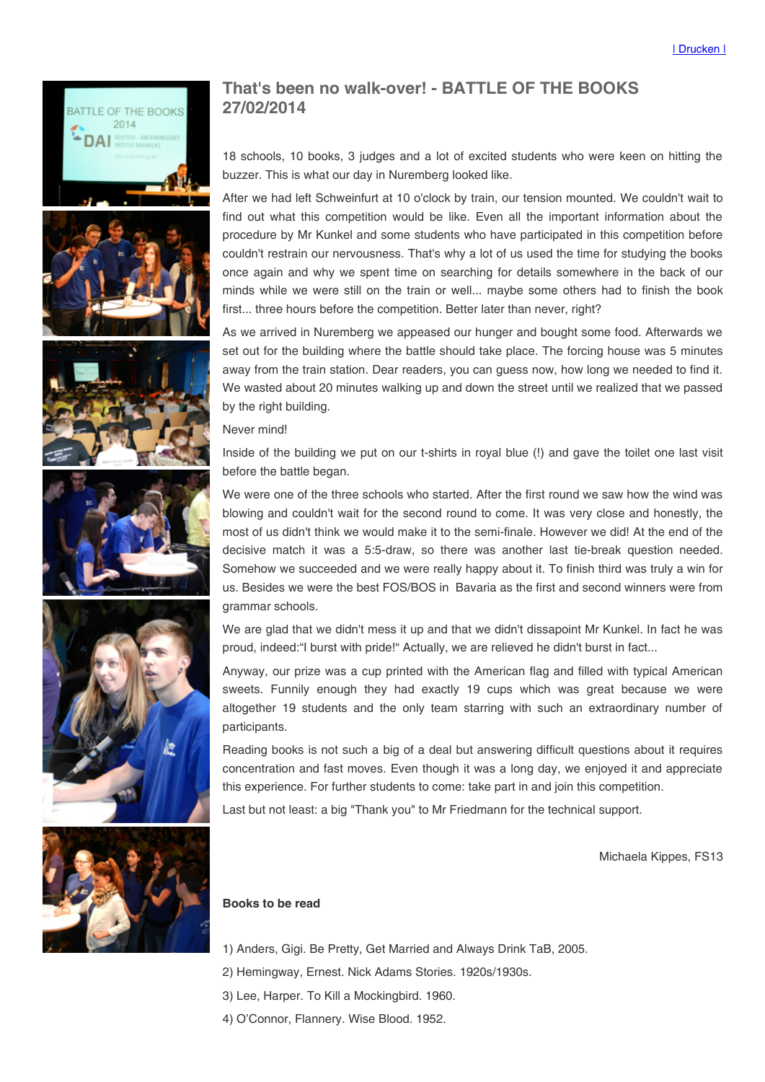









## That's been no walk-over! - BATTLE OF THE BOOKS 27/02/2014

18 schools, 10 books, 3 judges and a lot of excited students who were keen on hitting the buzzer. This is what our day in Nuremberg looked like.

After we had left Schweinfurt at 10 o'clock by train, our tension mounted. We couldn't wait to find out what this competition would be like. Even all the important information about the procedure by Mr Kunkel and some students who have participated in this competition before couldn't restrain our nervousness. That's why a lot of us used the time for studying the books once again and why we spent time on searching for details somewhere in the back of our minds while we were still on the train or well... maybe some others had to finish the book first... three hours before the competition. Better later than never, right?

As we arrived in Nuremberg we appeased our hunger and bought some food. Afterwards we set out for the building where the battle should take place. The forcing house was 5 minutes away from the train station. Dear readers, you can guess now, how long we needed to find it. We wasted about 20 minutes walking up and down the street until we realized that we passed by the right building.

Never mind!

Inside of the building we put on our t-shirts in royal blue (!) and gave the toilet one last visit before the battle began.

We were one of the three schools who started. After the first round we saw how the wind was blowing and couldn't wait for the second round to come. It was very close and honestly, the most of us didn't think we would make it to the semi-finale. However we did! At the end of the decisive match it was a 5:5-draw, so there was another last tie-break question needed. Somehow we succeeded and we were really happy about it. To finish third was truly a win for us. Besides we were the best FOS/BOS in Bavaria as the first and second winners were from grammar schools.

We are glad that we didn't mess it up and that we didn't dissapoint Mr Kunkel. In fact he was proud, indeed: "I burst with pride!" Actually, we are relieved he didn't burst in fact...

Anyway, our prize was a cup printed with the American flag and filled with typical American sweets. Funnily enough they had exactly 19 cups which was great because we were altogether 19 students and the only team starring with such an extraordinary number of participants.

Reading books is not such a big of a deal but answering difficult questions about it requires concentration and fast moves. Even though it was a long day, we enjoyed it and appreciate this experience. For further students to come: take part in and join this competition.

Last but not least: a big "Thank you" to Mr Friedmann for the technical support.

Michaela Kippes, FS13



## Books to be read

- 1) Anders, Gigi. Be Pretty, Get Married and Always Drink TaB, 2005.
- 2) Hemingway, Ernest. Nick Adams Stories. 1920s/1930s.
- 3) Lee, Harper. To Kill a Mockingbird. 1960.
- 4) O'Connor, Flannery. Wise Blood. 1952.